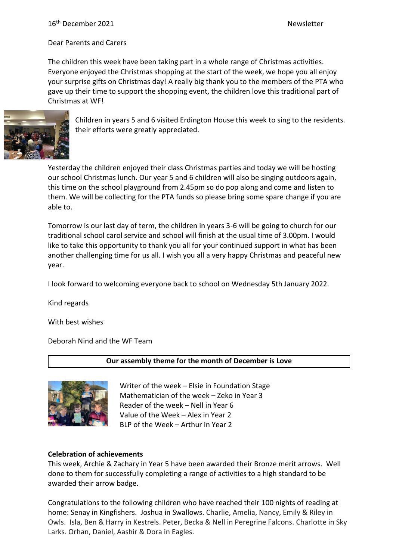Dear Parents and Carers

The children this week have been taking part in a whole range of Christmas activities. Everyone enjoyed the Christmas shopping at the start of the week, we hope you all enjoy your surprise gifts on Christmas day! A really big thank you to the members of the PTA who gave up their time to support the shopping event, the children love this traditional part of Christmas at WF!



Children in years 5 and 6 visited Erdington House this week to sing to the residents. their efforts were greatly appreciated.

Yesterday the children enjoyed their class Christmas parties and today we will be hosting our school Christmas lunch. Our year 5 and 6 children will also be singing outdoors again, this time on the school playground from 2.45pm so do pop along and come and listen to them. We will be collecting for the PTA funds so please bring some spare change if you are able to.

Tomorrow is our last day of term, the children in years 3-6 will be going to church for our traditional school carol service and school will finish at the usual time of 3.00pm. I would like to take this opportunity to thank you all for your continued support in what has been another challenging time for us all. I wish you all a very happy Christmas and peaceful new year.

I look forward to welcoming everyone back to school on Wednesday 5th January 2022.

Kind regards

With best wishes

Deborah Nind and the WF Team

**Our assembly theme for the month of December is Love**



Writer of the week – Elsie in Foundation Stage Mathematician of the week – Zeko in Year 3 Reader of the week – Nell in Year 6 Value of the Week – Alex in Year 2 BLP of the Week – Arthur in Year 2

# **Celebration of achievements**

This week, Archie & Zachary in Year 5 have been awarded their Bronze merit arrows. Well done to them for successfully completing a range of activities to a high standard to be awarded their arrow badge.

Congratulations to the following children who have reached their 100 nights of reading at home: Senay in Kingfishers. Joshua in Swallows. Charlie, Amelia, Nancy, Emily & Riley in Owls. Isla, Ben & Harry in Kestrels. Peter, Becka & Nell in Peregrine Falcons. Charlotte in Sky Larks. Orhan, Daniel, Aashir & Dora in Eagles.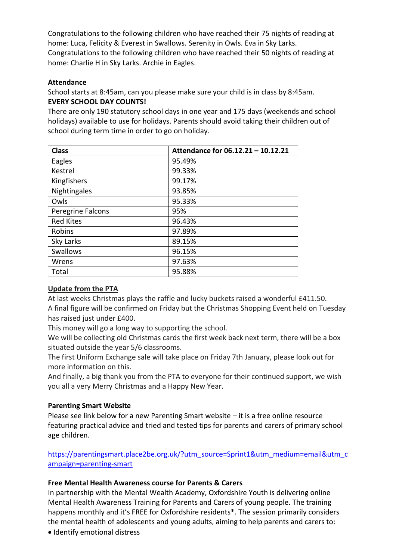Congratulations to the following children who have reached their 75 nights of reading at home: Luca, Felicity & Everest in Swallows. Serenity in Owls. Eva in Sky Larks. Congratulations to the following children who have reached their 50 nights of reading at home: Charlie H in Sky Larks. Archie in Eagles.

#### **Attendance**

School starts at 8:45am, can you please make sure your child is in class by 8:45am. **EVERY SCHOOL DAY COUNTS!**

There are only 190 statutory school days in one year and 175 days (weekends and school holidays) available to use for holidays. Parents should avoid taking their children out of school during term time in order to go on holiday.

| <b>Class</b>      | Attendance for 06.12.21 - 10.12.21 |
|-------------------|------------------------------------|
| Eagles            | 95.49%                             |
| Kestrel           | 99.33%                             |
| Kingfishers       | 99.17%                             |
| Nightingales      | 93.85%                             |
| Owls              | 95.33%                             |
| Peregrine Falcons | 95%                                |
| <b>Red Kites</b>  | 96.43%                             |
| Robins            | 97.89%                             |
| Sky Larks         | 89.15%                             |
| <b>Swallows</b>   | 96.15%                             |
| Wrens             | 97.63%                             |
| Total             | 95.88%                             |

# **Update from the PTA**

At last weeks Christmas plays the raffle and lucky buckets raised a wonderful £411.50. A final figure will be confirmed on Friday but the Christmas Shopping Event held on Tuesday has raised just under £400.

This money will go a long way to supporting the school.

We will be collecting old Christmas cards the first week back next term, there will be a box situated outside the year 5/6 classrooms.

The first Uniform Exchange sale will take place on Friday 7th January, please look out for more information on this.

And finally, a big thank you from the PTA to everyone for their continued support, we wish you all a very Merry Christmas and a Happy New Year.

# **Parenting Smart Website**

Please see link below for a new Parenting Smart website – it is a free online resource featuring practical advice and tried and tested tips for parents and carers of primary school age children.

[https://parentingsmart.place2be.org.uk/?utm\\_source=Sprint1&utm\\_medium=email&utm\\_c](https://parentingsmart.place2be.org.uk/?utm_source=Sprint1&utm_medium=email&utm_campaign=parenting-smart) [ampaign=parenting-smart](https://parentingsmart.place2be.org.uk/?utm_source=Sprint1&utm_medium=email&utm_campaign=parenting-smart)

#### **Free Mental Health Awareness course for Parents & Carers**

In partnership with the Mental Wealth Academy, Oxfordshire Youth is delivering online Mental Health Awareness Training for Parents and Carers of young people. The training happens monthly and it's FREE for Oxfordshire residents\*. The session primarily considers the mental health of adolescents and young adults, aiming to help parents and carers to:

• Identify emotional distress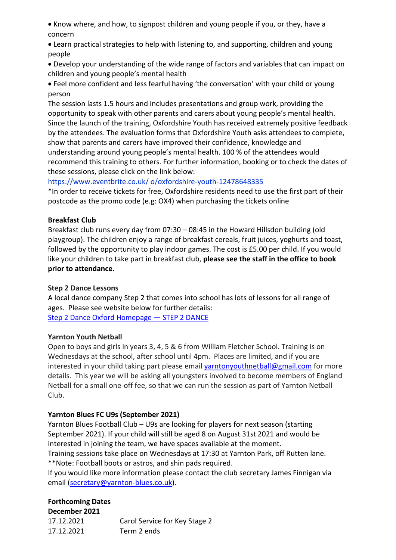• Know where, and how, to signpost children and young people if you, or they, have a concern

• Learn practical strategies to help with listening to, and supporting, children and young people

• Develop your understanding of the wide range of factors and variables that can impact on children and young people's mental health

• Feel more confident and less fearful having 'the conversation' with your child or young person

The session lasts 1.5 hours and includes presentations and group work, providing the opportunity to speak with other parents and carers about young people's mental health. Since the launch of the training, Oxfordshire Youth has received extremely positive feedback by the attendees. The evaluation forms that Oxfordshire Youth asks attendees to complete, show that parents and carers have improved their confidence, knowledge and understanding around young people's mental health. 100 % of the attendees would recommend this training to others. For further information, booking or to check the dates of these sessions, please click on the link below:

https://www.eventbrite.co.uk/ o/oxfordshire-youth-12478648335

\*In order to receive tickets for free, Oxfordshire residents need to use the first part of their postcode as the promo code (e.g: OX4) when purchasing the tickets online

# **Breakfast Club**

Breakfast club runs every day from 07:30 – 08:45 in the Howard Hillsdon building (old playgroup). The children enjoy a range of breakfast cereals, fruit juices, yoghurts and toast, followed by the opportunity to play indoor games. The cost is £5.00 per child. If you would like your children to take part in breakfast club, **please see the staff in the office to book prior to attendance.**

#### **Step 2 Dance Lessons**

A local dance company Step 2 that comes into school has lots of lessons for all range of ages. Please see website below for further details: [Step 2 Dance Oxford Homepage](https://www.step2dance.co.uk/home) — STEP 2 DANCE

#### **Yarnton Youth Netball**

Open to boys and girls in years 3, 4, 5 & 6 from William Fletcher School. Training is on Wednesdays at the school, after school until 4pm. Places are limited, and if you are interested in your child taking part please email [yarntonyouthnetball@gmail.com](mailto:yarntonyouthnetball@gmail.com) for more details. This year we will be asking all youngsters involved to become members of England Netball for a small one-off fee, so that we can run the session as part of Yarnton Netball Club.

# **Yarnton Blues FC U9s (September 2021)**

Yarnton Blues Football Club – U9s are looking for players for next season (starting September 2021). If your child will still be aged 8 on August 31st 2021 and would be interested in joining the team, we have spaces available at the moment.

Training sessions take place on Wednesdays at 17:30 at Yarnton Park, off Rutten lane. \*\*Note: Football boots or astros, and shin pads required.

If you would like more information please contact the club secretary James Finnigan via email [\(secretary@yarnton-blues.co.uk\)](mailto:secretary@yarnton-blues.co.uk).

# **Forthcoming Dates**

**December 2021** 17.12.2021 Carol Service for Key Stage 2 17.12.2021 Term 2 ends